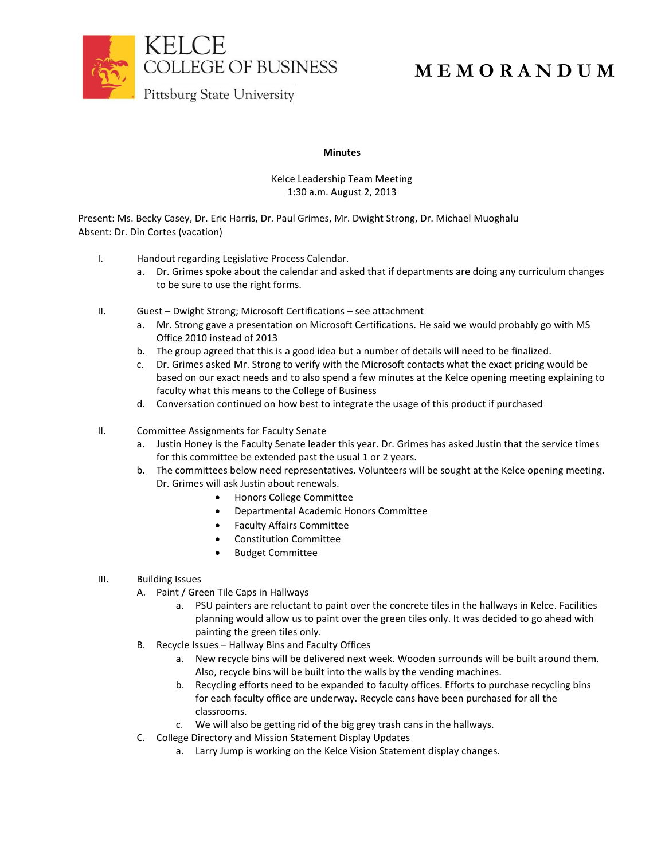

# **M E M O R A N D U M**

### **Minutes**

## Kelce Leadership Team Meeting 1:30 a.m. August 2, 2013

Present: Ms. Becky Casey, Dr. Eric Harris, Dr. Paul Grimes, Mr. Dwight Strong, Dr. Michael Muoghalu Absent: Dr. Din Cortes (vacation)

- I. Handout regarding Legislative Process Calendar.
	- a. Dr. Grimes spoke about the calendar and asked that if departments are doing any curriculum changes to be sure to use the right forms.
- II. Guest Dwight Strong; Microsoft Certifications see attachment
	- a. Mr. Strong gave a presentation on Microsoft Certifications. He said we would probably go with MS Office 2010 instead of 2013
	- b. The group agreed that this is a good idea but a number of details will need to be finalized.
	- c. Dr. Grimes asked Mr. Strong to verify with the Microsoft contacts what the exact pricing would be based on our exact needs and to also spend a few minutes at the Kelce opening meeting explaining to faculty what this means to the College of Business
	- d. Conversation continued on how best to integrate the usage of this product if purchased
- II. Committee Assignments for Faculty Senate
	- a. Justin Honey is the Faculty Senate leader this year. Dr. Grimes has asked Justin that the service times for this committee be extended past the usual 1 or 2 years.
	- b. The committees below need representatives. Volunteers will be sought at the Kelce opening meeting. Dr. Grimes will ask Justin about renewals.
		- Honors College Committee
			- Departmental Academic Honors Committee
			- Faculty Affairs Committee
			- Constitution Committee
			- Budget Committee
- III. Building Issues
	- A. Paint / Green Tile Caps in Hallways
		- a. PSU painters are reluctant to paint over the concrete tiles in the hallways in Kelce. Facilities planning would allow us to paint over the green tiles only. It was decided to go ahead with painting the green tiles only.
	- B. Recycle Issues Hallway Bins and Faculty Offices
		- a. New recycle bins will be delivered next week. Wooden surrounds will be built around them. Also, recycle bins will be built into the walls by the vending machines.
		- b. Recycling efforts need to be expanded to faculty offices. Efforts to purchase recycling bins for each faculty office are underway. Recycle cans have been purchased for all the classrooms.
		- c. We will also be getting rid of the big grey trash cans in the hallways.
	- C. College Directory and Mission Statement Display Updates
		- a. Larry Jump is working on the Kelce Vision Statement display changes.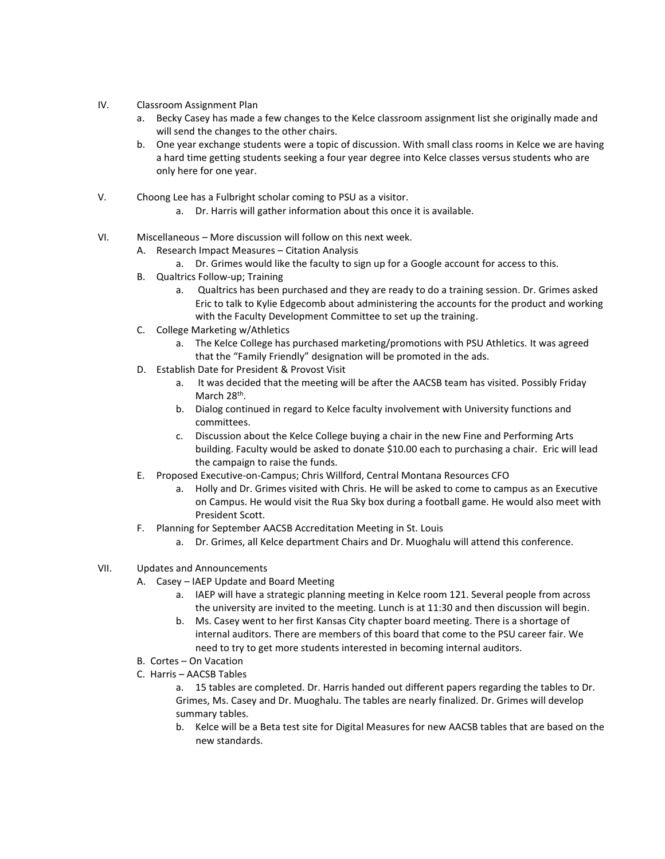- IV. Classroom Assignment Plan
	- a. Becky Casey has made a few changes to the Kelce classroom assignment list she originally made and will send the changes to the other chairs.
	- b. One year exchange students were a topic of discussion. With small class rooms in Kelce we are having a hard time getting students seeking a four year degree into Kelce classes versus students who are only here for one year.
- V. Choong Lee has a Fulbright scholar coming to PSU as a visitor.
	- a. Dr. Harris will gather information about this once it is available.
- VI. Miscellaneous More discussion will follow on this next week.
	- A. Research Impact Measures Citation Analysis
		- a. Dr. Grimes would like the faculty to sign up for a Google account for access to this.
	- B. Qualtrics Follow-up; Training
		- a. Qualtrics has been purchased and they are ready to do a training session. Dr. Grimes asked Eric to talk to Kylie Edgecomb about administering the accounts for the product and working with the Faculty Development Committee to set up the training.
	- C. College Marketing w/Athletics
		- a. The Kelce College has purchased marketing/promotions with PSU Athletics. It was agreed that the "Family Friendly" designation will be promoted in the ads.
	- D. Establish Date for President & Provost Visit
		- a. It was decided that the meeting will be after the AACSB team has visited. Possibly Friday March 28<sup>th</sup>.
		- b. Dialog continued in regard to Kelce faculty involvement with University functions and committees.
		- c. Discussion about the Kelce College buying a chair in the new Fine and Performing Arts building. Faculty would be asked to donate \$10.00 each to purchasing a chair. Eric will lead the campaign to raise the funds.
	- E. Proposed Executive-on-Campus; Chris Willford, Central Montana Resources CFO
		- a. Holly and Dr. Grimes visited with Chris. He will be asked to come to campus as an Executive on Campus. He would visit the Rua Sky box during a football game. He would also meet with President Scott.
	- F. Planning for September AACSB Accreditation Meeting in St. Louis
		- a. Dr. Grimes, all Kelce department Chairs and Dr. Muoghalu will attend this conference.
- VII. Updates and Announcements
	- A. Casey IAEP Update and Board Meeting
		- a. IAEP will have a strategic planning meeting in Kelce room 121. Several people from across the university are invited to the meeting. Lunch is at 11:30 and then discussion will begin.
		- b. Ms. Casey went to her first Kansas City chapter board meeting. There is a shortage of internal auditors. There are members of this board that come to the PSU career fair. We need to try to get more students interested in becoming internal auditors.
	- B. Cortes On Vacation
	- C. Harris AACSB Tables

a. 15 tables are completed. Dr. Harris handed out different papers regarding the tables to Dr. Grimes, Ms. Casey and Dr. Muoghalu. The tables are nearly finalized. Dr. Grimes will develop summary tables.

b. Kelce will be a Beta test site for Digital Measures for new AACSB tables that are based on the new standards.